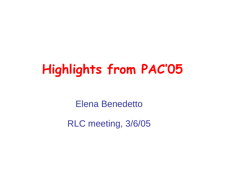## **Highlights from PAC'05**

Elena Benedetto

RLC meeting, 3/6/05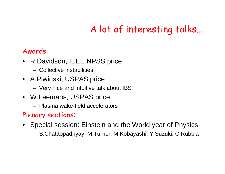## A lot of interesting talks…

#### Awards:

- R.Davidson, IEEE NPSS price
	- –Collective instabilities
- A.Piwinski, USPAS price
	- Very nice and intuitive talk about IBS
- W.Leemans, USPAS price
	- –Plasma wake-field accelerators

#### Plenary sections:

- Special session: Einstein and the World year of Physics
	- S.Chatttopadhyay, M.Turner, M.Kobayashi, Y.Suz uki, C.Rubbia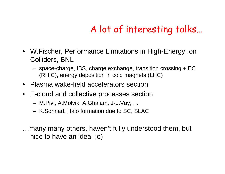## A lot of interesting talks…

- W.Fischer, Performance Limitations in High-Energy Ion Colliders, BNL
	- space-charge, IBS, charge exchange, transition crossing + EC (RHIC), energy deposition in cold magnets (LHC)
- •Plasma wake-field accelerators section
- E-cloud and collective processes section
	- M.Pivi, A.Molvik, A.Ghalam, J-L.Vay, …
	- K.Sonnad, Halo formation due to SC, SLAC
- …many many others, haven't fully understood them, but nice to have an idea! ;o)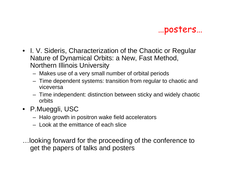…posters…

- I. V. Sideris, Characterization of the Chaotic or Regular Nature of Dynamical Orbits: a New, Fast Method, Northern Illinois University
	- Makes use of a very small number of orbital periods
	- Time dependent systems: transition from regular to chaotic and viceversa
	- Time independent: distinction between sticky and widely chaotic orbits
- P.Mueggli, USC
	- Halo growth in positron wake field accelerators
	- Look at the emittance of each slice

…looking forward for the proceeding of the conference to get the papers of talks and posters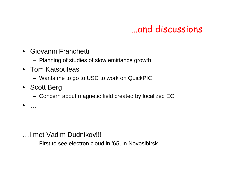#### …and discussions

- •Giovanni Franchetti
	- Planning of studies of slow emittance growth
- Tom Katsouleas
	- Wants me to go to USC to work on QuickPIC
- Scott Berg

•

…

– Concern about magnetic field created by localized EC

- …I met Vadim Dudnikov!!!
	- First to see electron cloud in '65, in Nov osibirsk